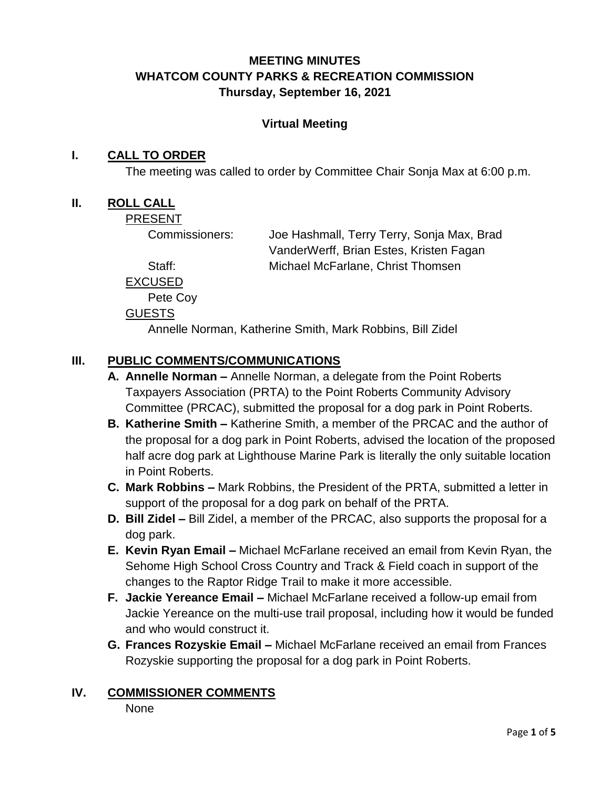# **MEETING MINUTES WHATCOM COUNTY PARKS & RECREATION COMMISSION Thursday, September 16, 2021**

## **Virtual Meeting**

## **I. CALL TO ORDER**

The meeting was called to order by Committee Chair Sonja Max at 6:00 p.m.

#### **II. ROLL CALL**

PRESENT

Commissioners: Joe Hashmall, Terry Terry, Sonja Max, Brad VanderWerff, Brian Estes, Kristen Fagan Staff: Michael McFarlane, Christ Thomsen

EXCUSED

Pete Coy

#### GUESTS

Annelle Norman, Katherine Smith, Mark Robbins, Bill Zidel

## **III. PUBLIC COMMENTS/COMMUNICATIONS**

- **A. Annelle Norman –** Annelle Norman, a delegate from the Point Roberts Taxpayers Association (PRTA) to the Point Roberts Community Advisory Committee (PRCAC), submitted the proposal for a dog park in Point Roberts.
- **B. Katherine Smith –** Katherine Smith, a member of the PRCAC and the author of the proposal for a dog park in Point Roberts, advised the location of the proposed half acre dog park at Lighthouse Marine Park is literally the only suitable location in Point Roberts.
- **C. Mark Robbins –** Mark Robbins, the President of the PRTA, submitted a letter in support of the proposal for a dog park on behalf of the PRTA.
- **D. Bill Zidel –** Bill Zidel, a member of the PRCAC, also supports the proposal for a dog park.
- **E. Kevin Ryan Email –** Michael McFarlane received an email from Kevin Ryan, the Sehome High School Cross Country and Track & Field coach in support of the changes to the Raptor Ridge Trail to make it more accessible.
- **F. Jackie Yereance Email –** Michael McFarlane received a follow-up email from Jackie Yereance on the multi-use trail proposal, including how it would be funded and who would construct it.
- **G. Frances Rozyskie Email –** Michael McFarlane received an email from Frances Rozyskie supporting the proposal for a dog park in Point Roberts.

## **IV. COMMISSIONER COMMENTS**

None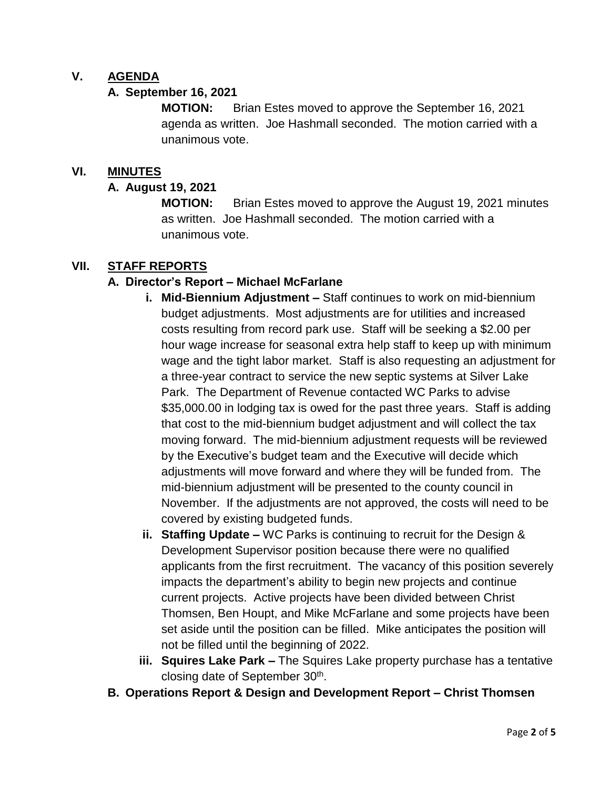## **V. AGENDA**

#### **A. September 16, 2021**

**MOTION:** Brian Estes moved to approve the September 16, 2021 agenda as written. Joe Hashmall seconded. The motion carried with a unanimous vote.

#### **VI. MINUTES**

#### **A. August 19, 2021**

**MOTION:** Brian Estes moved to approve the August 19, 2021 minutes as written. Joe Hashmall seconded. The motion carried with a unanimous vote.

## **VII. STAFF REPORTS**

## **A. Director's Report – Michael McFarlane**

- **i. Mid-Biennium Adjustment –** Staff continues to work on mid-biennium budget adjustments. Most adjustments are for utilities and increased costs resulting from record park use. Staff will be seeking a \$2.00 per hour wage increase for seasonal extra help staff to keep up with minimum wage and the tight labor market. Staff is also requesting an adjustment for a three-year contract to service the new septic systems at Silver Lake Park. The Department of Revenue contacted WC Parks to advise \$35,000.00 in lodging tax is owed for the past three years. Staff is adding that cost to the mid-biennium budget adjustment and will collect the tax moving forward. The mid-biennium adjustment requests will be reviewed by the Executive's budget team and the Executive will decide which adjustments will move forward and where they will be funded from. The mid-biennium adjustment will be presented to the county council in November. If the adjustments are not approved, the costs will need to be covered by existing budgeted funds.
- **ii. Staffing Update –** WC Parks is continuing to recruit for the Design & Development Supervisor position because there were no qualified applicants from the first recruitment. The vacancy of this position severely impacts the department's ability to begin new projects and continue current projects. Active projects have been divided between Christ Thomsen, Ben Houpt, and Mike McFarlane and some projects have been set aside until the position can be filled. Mike anticipates the position will not be filled until the beginning of 2022.
- **iii. Squires Lake Park –** The Squires Lake property purchase has a tentative closing date of September 30<sup>th</sup>.
- **B. Operations Report & Design and Development Report – Christ Thomsen**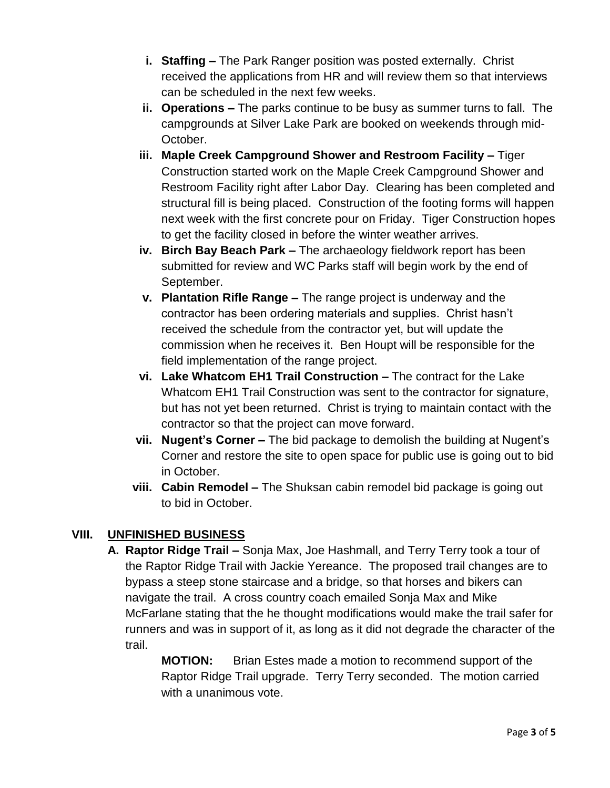- **i. Staffing –** The Park Ranger position was posted externally. Christ received the applications from HR and will review them so that interviews can be scheduled in the next few weeks.
- **ii. Operations –** The parks continue to be busy as summer turns to fall. The campgrounds at Silver Lake Park are booked on weekends through mid-October.
- **iii. Maple Creek Campground Shower and Restroom Facility –** Tiger Construction started work on the Maple Creek Campground Shower and Restroom Facility right after Labor Day. Clearing has been completed and structural fill is being placed. Construction of the footing forms will happen next week with the first concrete pour on Friday. Tiger Construction hopes to get the facility closed in before the winter weather arrives.
- **iv. Birch Bay Beach Park –** The archaeology fieldwork report has been submitted for review and WC Parks staff will begin work by the end of September.
- **v. Plantation Rifle Range –** The range project is underway and the contractor has been ordering materials and supplies. Christ hasn't received the schedule from the contractor yet, but will update the commission when he receives it. Ben Houpt will be responsible for the field implementation of the range project.
- **vi. Lake Whatcom EH1 Trail Construction –** The contract for the Lake Whatcom EH1 Trail Construction was sent to the contractor for signature, but has not yet been returned. Christ is trying to maintain contact with the contractor so that the project can move forward.
- **vii. Nugent's Corner –** The bid package to demolish the building at Nugent's Corner and restore the site to open space for public use is going out to bid in October.
- **viii. Cabin Remodel –** The Shuksan cabin remodel bid package is going out to bid in October.

## **VIII. UNFINISHED BUSINESS**

- **A. Raptor Ridge Trail –** Sonja Max, Joe Hashmall, and Terry Terry took a tour of the Raptor Ridge Trail with Jackie Yereance. The proposed trail changes are to bypass a steep stone staircase and a bridge, so that horses and bikers can navigate the trail. A cross country coach emailed Sonja Max and Mike McFarlane stating that the he thought modifications would make the trail safer for runners and was in support of it, as long as it did not degrade the character of the trail.
	- **MOTION:** Brian Estes made a motion to recommend support of the Raptor Ridge Trail upgrade. Terry Terry seconded. The motion carried with a unanimous vote.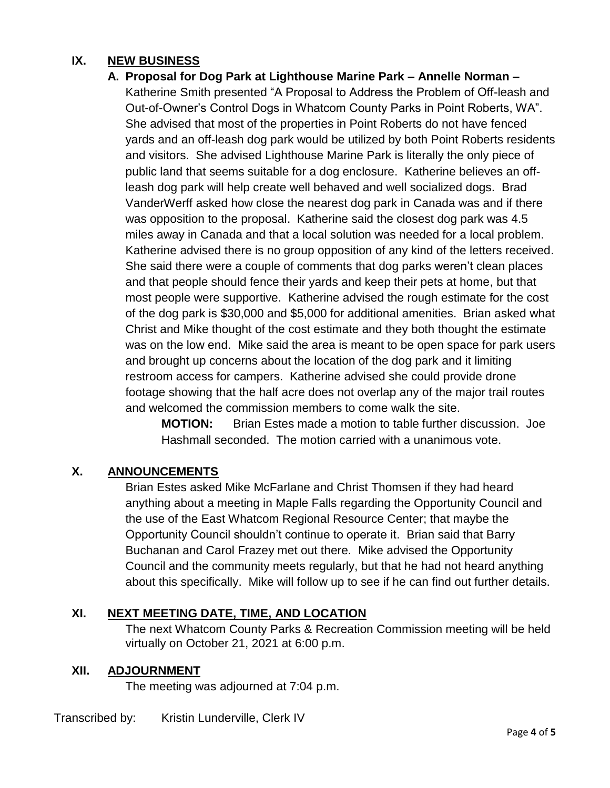# **IX. NEW BUSINESS**

**A. Proposal for Dog Park at Lighthouse Marine Park – Annelle Norman –**

Katherine Smith presented "A Proposal to Address the Problem of Off-leash and Out-of-Owner's Control Dogs in Whatcom County Parks in Point Roberts, WA". She advised that most of the properties in Point Roberts do not have fenced yards and an off-leash dog park would be utilized by both Point Roberts residents and visitors. She advised Lighthouse Marine Park is literally the only piece of public land that seems suitable for a dog enclosure. Katherine believes an offleash dog park will help create well behaved and well socialized dogs. Brad VanderWerff asked how close the nearest dog park in Canada was and if there was opposition to the proposal. Katherine said the closest dog park was 4.5 miles away in Canada and that a local solution was needed for a local problem. Katherine advised there is no group opposition of any kind of the letters received. She said there were a couple of comments that dog parks weren't clean places and that people should fence their yards and keep their pets at home, but that most people were supportive. Katherine advised the rough estimate for the cost of the dog park is \$30,000 and \$5,000 for additional amenities. Brian asked what Christ and Mike thought of the cost estimate and they both thought the estimate was on the low end. Mike said the area is meant to be open space for park users and brought up concerns about the location of the dog park and it limiting restroom access for campers. Katherine advised she could provide drone footage showing that the half acre does not overlap any of the major trail routes and welcomed the commission members to come walk the site.

**MOTION:** Brian Estes made a motion to table further discussion. Joe Hashmall seconded. The motion carried with a unanimous vote.

## **X. ANNOUNCEMENTS**

Brian Estes asked Mike McFarlane and Christ Thomsen if they had heard anything about a meeting in Maple Falls regarding the Opportunity Council and the use of the East Whatcom Regional Resource Center; that maybe the Opportunity Council shouldn't continue to operate it. Brian said that Barry Buchanan and Carol Frazey met out there. Mike advised the Opportunity Council and the community meets regularly, but that he had not heard anything about this specifically. Mike will follow up to see if he can find out further details.

## **XI. NEXT MEETING DATE, TIME, AND LOCATION**

The next Whatcom County Parks & Recreation Commission meeting will be held virtually on October 21, 2021 at 6:00 p.m.

## **XII. ADJOURNMENT**

The meeting was adjourned at 7:04 p.m.

Transcribed by: Kristin Lunderville, Clerk IV